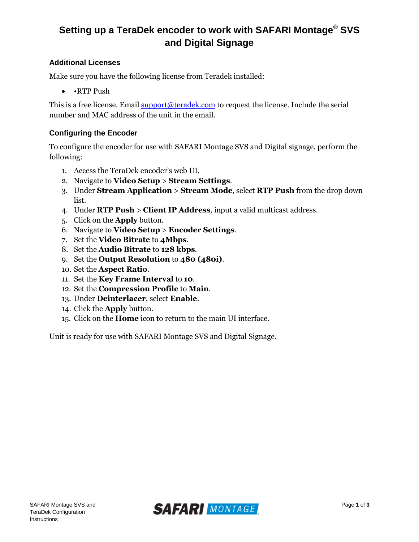# **Setting up a TeraDek encoder to work with SAFARI Montage® SVS and Digital Signage**

### **Additional Licenses**

Make sure you have the following license from Teradek installed:

• •RTP Push

This is a free license. Email [support@teradek.com](mailto:support@teradek.com) to request the license. Include the serial number and MAC address of the unit in the email.

#### **Configuring the Encoder**

To configure the encoder for use with SAFARI Montage SVS and Digital signage, perform the following:

- 1. Access the TeraDek encoder's web UI.
- 2. Navigate to **Video Setup** > **Stream Settings**.
- 3. Under **Stream Application** > **Stream Mode**, select **RTP Push** from the drop down list.
- 4. Under **RTP Push** > **Client IP Address**, input a valid multicast address.
- 5. Click on the **Apply** button.
- 6. Navigate to **Video Setup** > **Encoder Settings**.
- 7. Set the **Video Bitrate** to **4Mbps**.
- 8. Set the **Audio Bitrate** to **128 kbps**.
- 9. Set the **Output Resolution** to **480 (480i)**.
- 10. Set the **Aspect Ratio**.
- 11. Set the **Key Frame Interval** to **10**.
- 12. Set the **Compression Profile** to **Main**.
- 13. Under **Deinterlacer**, select **Enable**.
- 14. Click the **Apply** button.
- 15. Click on the **Home** icon to return to the main UI interface.

Unit is ready for use with SAFARI Montage SVS and Digital Signage.

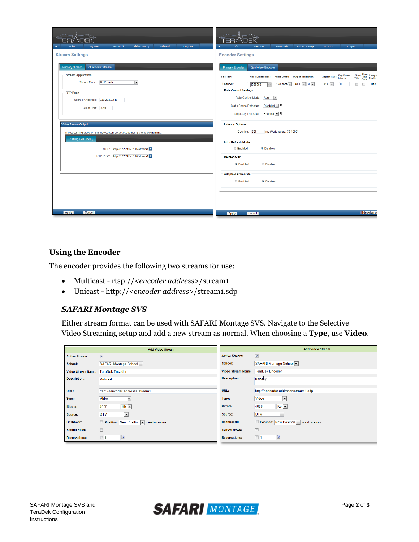| Video Setup<br><b>Network</b><br>Wizard<br>Info<br>Logout<br>System<br>金                                                                                                                                                                                                                                                                                                                                                               | Video Setup<br>Info<br>Wizard<br>Network<br>Logout<br>$\hat{\mathbf{r}}$<br>System                                                                                                                                                                                                                                                                                                                                                                                                                                                                                                                                                                                                                                                                                                                                                                                                                                                           |
|----------------------------------------------------------------------------------------------------------------------------------------------------------------------------------------------------------------------------------------------------------------------------------------------------------------------------------------------------------------------------------------------------------------------------------------|----------------------------------------------------------------------------------------------------------------------------------------------------------------------------------------------------------------------------------------------------------------------------------------------------------------------------------------------------------------------------------------------------------------------------------------------------------------------------------------------------------------------------------------------------------------------------------------------------------------------------------------------------------------------------------------------------------------------------------------------------------------------------------------------------------------------------------------------------------------------------------------------------------------------------------------------|
|                                                                                                                                                                                                                                                                                                                                                                                                                                        |                                                                                                                                                                                                                                                                                                                                                                                                                                                                                                                                                                                                                                                                                                                                                                                                                                                                                                                                              |
| <b>Stream Settings</b><br><b>Primary Stream</b><br>Quickview Stream<br><b>Stream Application</b><br>Stream Mode: RTP Push<br>$\boxed{2}$<br><b>RTP Push</b><br>Client IP Address: 239.20.50.116<br>Client Port: 9510<br>Video Stream Output<br>The streaming video on this device can be accessed using the following links:<br>Primary (RTP Push)<br>RTSP: rtsp://172.20.50.116/stream1 ><br>RTP Push: http://172.20.50.116/stream1 > | <b>Encoder Settings</b><br>Quickview Encoder<br><b>Primary Encoder</b><br>$\begin{array}{c}\n\text{Show} \\ \text{Show} \\ \text{Time} \\ \text{Forfile} \\ \text{Total} \\ \text{Total} \\ \end{array}$<br>Aspect Ratio Key Frame<br>Interval<br><b>Audio Bitrate  Output Resolution</b><br><b>Title Text</b><br><b>Video Bitrate (bps)</b><br>Channel 1<br>128 kbps $\blacktriangleright$<br>480i - 30 -<br>10<br>$\overline{\mathbb{R}^n}$<br>Main<br>$4:3 -$<br>$\Box$<br>4000000<br><b>Rate Control Settings</b><br>Rate Control Mode:<br>Auto<br>$\overline{ }$<br><b>Static Scene Detection:</b><br>$Disable$ d – $\theta$<br>Complexity Detection: Enabled v 0<br><b>Latency Options</b><br>ms (Valid range: 70-1000)<br>Caching: 300<br><b>Intra Refresh Mode</b><br><b>Enabled</b><br><b>O</b> Disabled<br><b>Deinterlacer</b><br>© Disabled<br><b>Enabled</b><br><b>Adaptive Framerate</b><br><b>Enabled</b><br><b>O</b> Disabled |
| Apply<br>Cancel                                                                                                                                                                                                                                                                                                                                                                                                                        | <b>Hide Advance</b><br>Cancel<br>Apply                                                                                                                                                                                                                                                                                                                                                                                                                                                                                                                                                                                                                                                                                                                                                                                                                                                                                                       |

#### **Using the Encoder**

The encoder provides the following two streams for use:

- Multicast rtsp://<*encoder address*>/stream1
- Unicast http://<*encoder address*>/stream1.sdp

#### *SAFARI Montage SVS*

Either stream format can be used with SAFARI Montage SVS. Navigate to the Selective Video Streaming setup and add a new stream as normal. When choosing a **Type**, use **Video**.

|                           | <b>Add Video Stream</b>                        | <b>Add Video Stream</b>   |                                                    |
|---------------------------|------------------------------------------------|---------------------------|----------------------------------------------------|
| <b>Active Stream:</b>     | $\triangledown$                                | <b>Active Stream:</b>     | $\overline{\mathsf{v}}$                            |
| School:                   | SAFARI Montage School                          | School:                   | SAFARI Montage School                              |
| <b>Video Stream Name:</b> | <b>TeraDek Encoder</b>                         | <b>Video Stream Name:</b> | <b>TeraDek Encoder</b>                             |
| <b>Description:</b>       | <b>Multicast</b>                               | <b>Description:</b>       | <b>Unicate</b>                                     |
|                           |                                                |                           |                                                    |
| URL:                      | rtsp:// <encoder address="">/stream1</encoder> | URL:                      | http:// <encoder address="">/stream1.sdp</encoder> |
| Type:                     | Video<br>$\blacksquare$                        | Type:                     | Video<br>$\overline{\phantom{a}}$                  |
| <b>Bitrate:</b>           | $Kb$ $\rightarrow$<br>4000                     | <b>Bitrate:</b>           | $Kb$ $\rightarrow$<br>4000                         |
| Source:                   | <b>DTV</b><br>$\vert \mathbf{v} \vert$         | Source:                   | <b>DTV</b><br>$\blacktriangledown$                 |
| Dashboard:                | Position: New Position • based on source       | Dashboard:                | Position: New Position • based on source           |
| <b>School News:</b>       | $\Box$                                         | <b>School News:</b>       | $\Box$                                             |
| <b>Reservations:</b>      | ⅋<br>$\Box$ 1                                  | <b>Reservations:</b>      | і⊗<br>$\Box$ 1                                     |